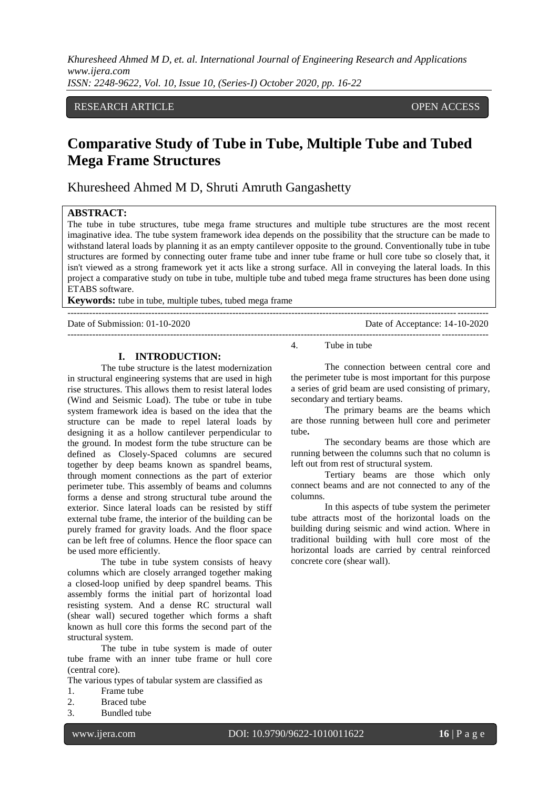#### RESEARCH ARTICLE OPEN ACCESS

# **Comparative Study of Tube in Tube, Multiple Tube and Tubed Mega Frame Structures**

Khuresheed Ahmed M D, Shruti Amruth Gangashetty

#### **ABSTRACT:**

The tube in tube structures, tube mega frame structures and multiple tube structures are the most recent imaginative idea. The tube system framework idea depends on the possibility that the structure can be made to withstand lateral loads by planning it as an empty cantilever opposite to the ground. Conventionally tube in tube structures are formed by connecting outer frame tube and inner tube frame or hull core tube so closely that, it isn't viewed as a strong framework yet it acts like a strong surface. All in conveying the lateral loads. In this project a comparative study on tube in tube, multiple tube and tubed mega frame structures has been done using ETABS software.

---------------------------------------------------------------------------------------------------------------------------------------

---------------------------------------------------------------------------------------------------------------------------------------

**Keywords:** tube in tube, multiple tubes, tubed mega frame

Date of Submission: 01-10-2020 Date of Acceptance: 14-10-2020

#### **I. INTRODUCTION:**

The tube structure is the latest modernization in structural engineering systems that are used in high rise structures. This allows them to resist lateral lodes (Wind and Seismic Load). The tube or tube in tube system framework idea is based on the idea that the structure can be made to repel lateral loads by designing it as a hollow cantilever perpendicular to the ground. In modest form the tube structure can be defined as Closely-Spaced columns are secured together by deep beams known as spandrel beams, through moment connections as the part of exterior perimeter tube. This assembly of beams and columns forms a dense and strong structural tube around the exterior. Since lateral loads can be resisted by stiff external tube frame, the interior of the building can be purely framed for gravity loads. And the floor space can be left free of columns. Hence the floor space can be used more efficiently.

The tube in tube system consists of heavy columns which are closely arranged together making a closed-loop unified by deep spandrel beams. This assembly forms the initial part of horizontal load resisting system. And a dense RC structural wall (shear wall) secured together which forms a shaft known as hull core this forms the second part of the structural system.

The tube in tube system is made of outer tube frame with an inner tube frame or hull core (central core).

The various types of tabular system are classified as

- 1. Frame tube
- 2. Braced tube
- 3. Bundled tube

4. Tube in tube

The connection between central core and the perimeter tube is most important for this purpose a series of grid beam are used consisting of primary, secondary and tertiary beams.

The primary beams are the beams which are those running between hull core and perimeter tube**.**

The secondary beams are those which are running between the columns such that no column is left out from rest of structural system.

Tertiary beams are those which only connect beams and are not connected to any of the columns.

In this aspects of tube system the perimeter tube attracts most of the horizontal loads on the building during seismic and wind action. Where in traditional building with hull core most of the horizontal loads are carried by central reinforced concrete core (shear wall).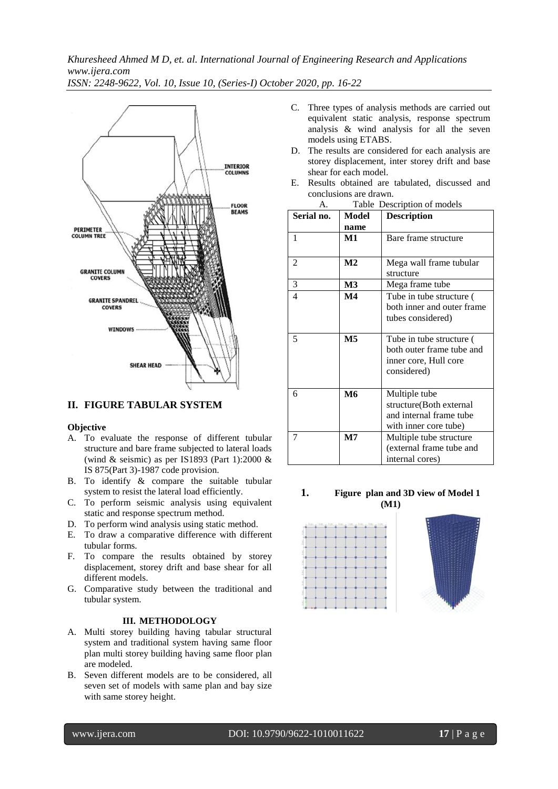*Khuresheed Ahmed M D, et. al. International Journal of Engineering Research and Applications www.ijera.com*

*ISSN: 2248-9622, Vol. 10, Issue 10, (Series-I) October 2020, pp. 16-22*



# **II. FIGURE TABULAR SYSTEM**

#### **Objective**

- A. To evaluate the response of different tubular structure and bare frame subjected to lateral loads (wind  $&$  seismic) as per IS1893 (Part 1):2000  $&$ IS 875(Part 3)-1987 code provision.
- B. To identify & compare the suitable tubular system to resist the lateral load efficiently.
- C. To perform seismic analysis using equivalent static and response spectrum method.
- D. To perform wind analysis using static method.
- E. To draw a comparative difference with different tubular forms.
- F. To compare the results obtained by storey displacement, storey drift and base shear for all different models.
- G. Comparative study between the traditional and tubular system.

#### **III. METHODOLOGY**

- A. Multi storey building having tabular structural system and traditional system having same floor plan multi storey building having same floor plan are modeled.
- B. Seven different models are to be considered, all seven set of models with same plan and bay size with same storey height.
- C. Three types of analysis methods are carried out equivalent static analysis, response spectrum analysis & wind analysis for all the seven models using ETABS.
- D. The results are considered for each analysis are storey displacement, inter storey drift and base shear for each model.
- E. Results obtained are tabulated, discussed and conclusions are drawn. A. Table Description of models

| А.<br>rable Description of moders |                            |  |
|-----------------------------------|----------------------------|--|
| Model                             | <b>Description</b>         |  |
| name                              |                            |  |
| M1                                | Bare frame structure       |  |
|                                   |                            |  |
| M <sub>2</sub>                    | Mega wall frame tubular    |  |
|                                   | structure                  |  |
| M3                                | Mega frame tube            |  |
| $\mathbf{M}4$                     | Tube in tube structure (   |  |
|                                   | both inner and outer frame |  |
|                                   | tubes considered)          |  |
|                                   |                            |  |
| M <sub>5</sub>                    | Tube in tube structure (   |  |
|                                   | both outer frame tube and  |  |
|                                   | inner core, Hull core      |  |
|                                   | considered)                |  |
|                                   |                            |  |
| M6                                | Multiple tube              |  |
|                                   | structure(Both external    |  |
|                                   | and internal frame tube    |  |
|                                   | with inner core tube)      |  |
| M <sub>7</sub>                    | Multiple tube structure    |  |
|                                   | (external frame tube and   |  |
|                                   | internal cores)            |  |
|                                   |                            |  |

**1. Figure plan and 3D view of Model 1 (M1)**

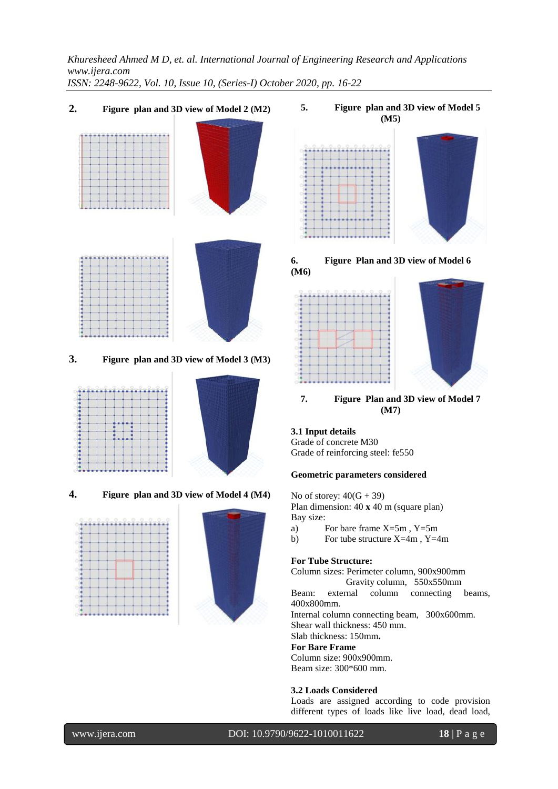

**3. Figure plan and 3D view of Model 3 (M3)**



**4. Figure plan and 3D view of Model 4 (M4)**











**7. Figure Plan and 3D view of Model 7 (M7)**

### **3.1 Input details**

Grade of concrete M30 Grade of reinforcing steel: fe550

#### **Geometric parameters considered**

No of storey:  $40(G + 39)$ 

Plan dimension: 40 **x** 40 m (square plan) Bay size:

- a) For bare frame X=5m , Y=5m
- b) For tube structure  $X=4m$ ,  $Y=4m$

#### **For Tube Structure:**

Column sizes: Perimeter column, 900x900mm Gravity column, 550x550mm

Beam: external column connecting beams, 400x800mm.

Internal column connecting beam, 300x600mm. Shear wall thickness: 450 mm.

Slab thickness: 150mm**.**

# **For Bare Frame**

Column size: 900x900mm. Beam size: 300\*600 mm.

#### **3.2 Loads Considered**

Loads are assigned according to code provision different types of loads like live load, dead load,

www.ijera.com DOI: 10.9790/9622-1010011622 **18** | P a g e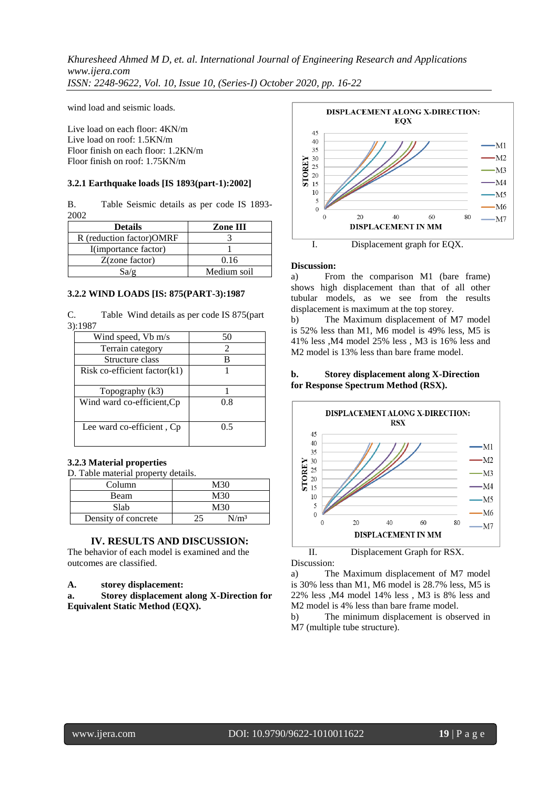wind load and seismic loads.

Live load on each floor: 4KN/m Live load on roof: 1.5KN/m Floor finish on each floor: 1.2KN/m Floor finish on roof: 1.75KN/m

#### **3.2.1 Earthquake loads [IS 1893(part-1):2002]**

B. Table Seismic details as per code IS 1893- 2002

| <b>Details</b>            | Zone III    |
|---------------------------|-------------|
| R (reduction factor) OMRF |             |
| I(importance factor)      |             |
| Z(zone factor)            | 0.16        |
| Sa/g                      | Medium soil |

#### **3.2.2 WIND LOADS [IS: 875(PART-3):1987**

C. Table Wind details as per code IS 875(part 3):1987

| Wind speed, Vb m/s              | 50  |
|---------------------------------|-----|
| Terrain category                | 2   |
| Structure class                 | в   |
| Risk co-efficient factor $(k1)$ |     |
| Topography (k3)                 |     |
| Wind ward co-efficient, Cp      | 0.8 |
| Lee ward co-efficient, Cp       | 0.5 |

#### **3.2.3 Material properties**

D. Table material property details.

| Column              | M30     |
|---------------------|---------|
| Beam                | M30     |
| Slab                | M30     |
| Density of concrete | $N/m^3$ |

# **IV. RESULTS AND DISCUSSION:**

The behavior of each model is examined and the outcomes are classified.

#### **A. storey displacement:**

**a. Storey displacement along X-Direction for Equivalent Static Method (EQX).**



I. Displacement graph for EQX.

#### **Discussion:**

a) From the comparison M1 (bare frame) shows high displacement than that of all other tubular models, as we see from the results displacement is maximum at the top storey.

b) The Maximum displacement of M7 model is 52% less than M1, M6 model is 49% less, M5 is 41% less ,M4 model 25% less , M3 is 16% less and M2 model is 13% less than bare frame model.

#### **b. Storey displacement along X-Direction for Response Spectrum Method (RSX).**



Discussion:

a) The Maximum displacement of M7 model is 30% less than M1, M6 model is 28.7% less, M5 is 22% less ,M4 model 14% less , M3 is 8% less and M2 model is 4% less than bare frame model.

b) The minimum displacement is observed in M7 (multiple tube structure).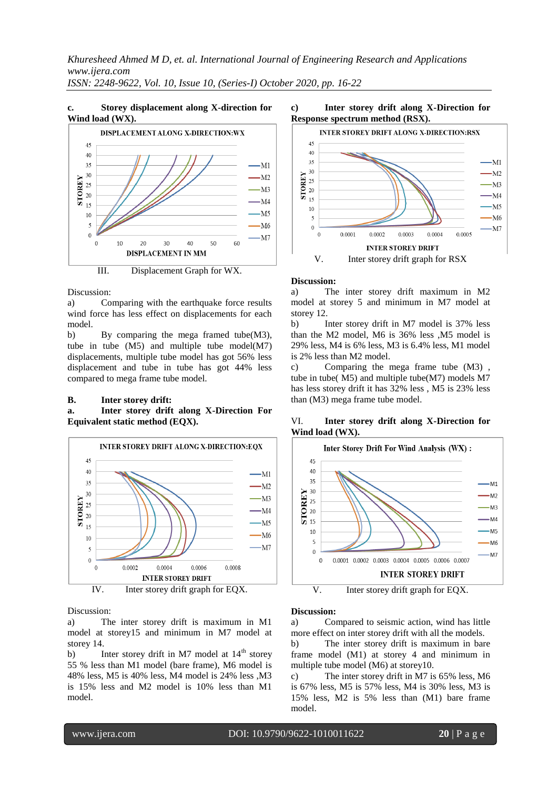#### **c. Storey displacement along X-direction for Wind load (WX).**



#### Discussion:

a) Comparing with the earthquake force results wind force has less effect on displacements for each model.

b) By comparing the mega framed tube(M3), tube in tube  $(M5)$  and multiple tube model $(M7)$ displacements, multiple tube model has got 56% less displacement and tube in tube has got 44% less compared to mega frame tube model.

### **B. Inter storey drift: a. Inter storey drift along X-Direction For Equivalent static method (EQX).**



#### Discussion:

a) The inter storey drift is maximum in M1 model at storey15 and minimum in M7 model at storey 14.

b) Inter storey drift in M7 model at  $14<sup>th</sup>$  storey 55 % less than M1 model (bare frame), M6 model is 48% less, M5 is 40% less, M4 model is 24% less ,M3 is 15% less and M2 model is 10% less than M1 model.





#### **Discussion:**

a) The inter storey drift maximum in M2 model at storey 5 and minimum in M7 model at storey 12.

b) Inter storey drift in M7 model is 37% less than the M2 model, M6 is 36% less ,M5 model is 29% less, M4 is 6% less, M3 is 6.4% less, M1 model is 2% less than M2 model.

c) Comparing the mega frame tube (M3) , tube in tube( M5) and multiple tube(M7) models M7 has less storey drift it has 32% less , M5 is 23% less than (M3) mega frame tube model.

#### VI. **Inter storey drift along X-Direction for Wind load (WX).**





#### **Discussion:**

a) Compared to seismic action, wind has little more effect on inter storey drift with all the models.

b) The inter storey drift is maximum in bare frame model (M1) at storey 4 and minimum in multiple tube model (M6) at storey10.

c) The inter storey drift in M7 is 65% less, M6 is 67% less, M5 is 57% less, M4 is 30% less, M3 is 15% less, M2 is 5% less than (M1) bare frame model.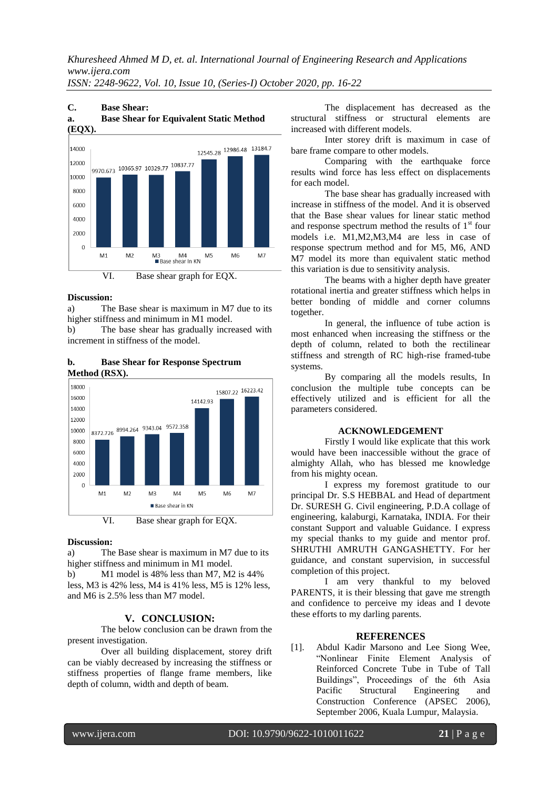

# **C. Base Shear: a. Base Shear for Equivalent Static Method**

#### **Discussion:**

a) The Base shear is maximum in M7 due to its higher stiffness and minimum in M1 model.

b) The base shear has gradually increased with increment in stiffness of the model.

**b. Base Shear for Response Spectrum Method (RSX).**



#### **Discussion:**

a) The Base shear is maximum in M7 due to its higher stiffness and minimum in M1 model.

b) M1 model is 48% less than M7, M2 is 44% less, M3 is 42% less, M4 is 41% less, M5 is 12% less, and M6 is 2.5% less than M7 model.

# **V. CONCLUSION:**

The below conclusion can be drawn from the present investigation.

Over all building displacement, storey drift can be viably decreased by increasing the stiffness or stiffness properties of flange frame members, like depth of column, width and depth of beam.

The displacement has decreased as the structural stiffness or structural elements are increased with different models.

Inter storey drift is maximum in case of bare frame compare to other models.

Comparing with the earthquake force results wind force has less effect on displacements for each model.

The base shear has gradually increased with increase in stiffness of the model. And it is observed that the Base shear values for linear static method and response spectrum method the results of  $1<sup>st</sup>$  four models i.e. M1,M2,M3,M4 are less in case of response spectrum method and for M5, M6, AND M7 model its more than equivalent static method this variation is due to sensitivity analysis.

The beams with a higher depth have greater rotational inertia and greater stiffness which helps in better bonding of middle and corner columns together.

In general, the influence of tube action is most enhanced when increasing the stiffness or the depth of column, related to both the rectilinear stiffness and strength of RC high-rise framed-tube systems.

By comparing all the models results, In conclusion the multiple tube concepts can be effectively utilized and is efficient for all the parameters considered.

#### **ACKNOWLEDGEMENT**

Firstly I would like explicate that this work would have been inaccessible without the grace of almighty Allah, who has blessed me knowledge from his mighty ocean.

I express my foremost gratitude to our principal Dr. S.S HEBBAL and Head of department Dr. SURESH G. Civil engineering, P.D.A collage of engineering, kalaburgi, Karnataka, INDIA. For their constant Support and valuable Guidance. I express my special thanks to my guide and mentor prof. SHRUTHI AMRUTH GANGASHETTY. For her guidance, and constant supervision, in successful completion of this project.

I am very thankful to my beloved PARENTS, it is their blessing that gave me strength and confidence to perceive my ideas and I devote these efforts to my darling parents.

# **REFERENCES**

[1]. Abdul Kadir Marsono and Lee Siong Wee, "Nonlinear Finite Element Analysis of Reinforced Concrete Tube in Tube of Tall Buildings", Proceedings of the 6th Asia Pacific Structural Engineering and Construction Conference (APSEC 2006), September 2006, Kuala Lumpur, Malaysia.